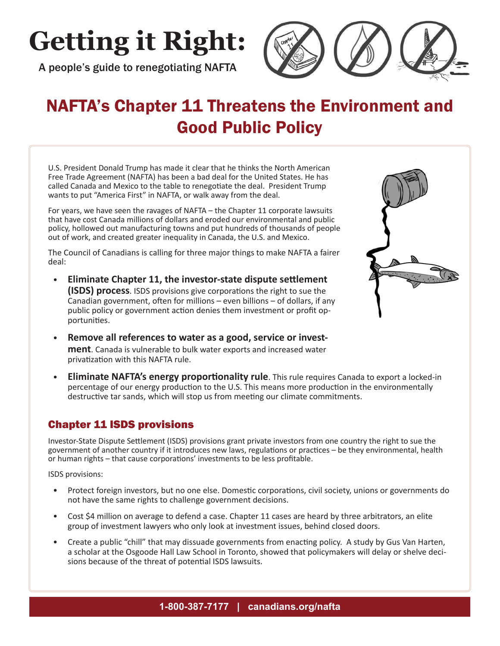# **Getting it Right:**

A people's guide to renegotiating NAFTA



## NAFTA's Chapter 11 Threatens the Environment and Good Public Policy

U.S. President Donald Trump has made it clear that he thinks the North American Free Trade Agreement (NAFTA) has been a bad deal for the United States. He has called Canada and Mexico to the table to renegotiate the deal. President Trump wants to put "America First" in NAFTA, or walk away from the deal.

For years, we have seen the ravages of NAFTA – the Chapter 11 corporate lawsuits that have cost Canada millions of dollars and eroded our environmental and public policy, hollowed out manufacturing towns and put hundreds of thousands of people out of work, and created greater inequality in Canada, the U.S. and Mexico.

The Council of Canadians is calling for three major things to make NAFTA a fairer deal:

- **Eliminate Chapter 11, the investor-state dispute settlement (ISDS) process**. ISDS provisions give corporations the right to sue the Canadian government, often for millions – even billions – of dollars, if any public policy or government action denies them investment or profit opportunities.
- **Remove all references to water as a good, service or investment**. Canada is vulnerable to bulk water exports and increased water privatization with this NAFTA rule.
- **Eliminate NAFTA's energy proportionality rule**. This rule requires Canada to export a locked-in percentage of our energy production to the U.S. This means more production in the environmentally destructive tar sands, which will stop us from meeting our climate commitments.

## Chapter 11 ISDS provisions

Investor-State Dispute Settlement (ISDS) provisions grant private investors from one country the right to sue the government of another country if it introduces new laws, regulations or practices – be they environmental, health or human rights – that cause corporations' investments to be less profitable.

ISDS provisions:

- Protect foreign investors, but no one else. Domestic corporations, civil society, unions or governments do not have the same rights to challenge government decisions.
- Cost \$4 million on average to defend a case. Chapter 11 cases are heard by three arbitrators, an elite group of investment lawyers who only look at investment issues, behind closed doors.
- Create a public "chill" that may dissuade governments from enacting policy. A study by Gus Van Harten, a scholar at the Osgoode Hall Law School in Toronto, showed that policymakers will delay or shelve decisions because of the threat of potential ISDS lawsuits.